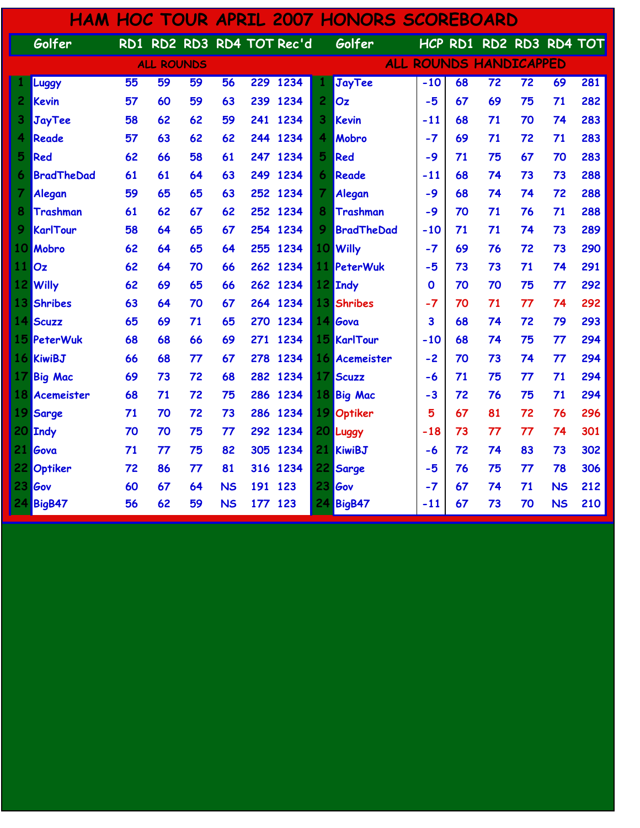|                 |                   |                 |                   |    |           |     |                           |                 | <b>HAM HOC TOUR APRIL 2007 HONORS SCOREBOARD</b> |             |    |                               |                 |           |     |
|-----------------|-------------------|-----------------|-------------------|----|-----------|-----|---------------------------|-----------------|--------------------------------------------------|-------------|----|-------------------------------|-----------------|-----------|-----|
|                 | Golfer            |                 |                   |    |           |     | RD1 RD2 RD3 RD4 TOT Rec'd |                 | Golfer                                           |             |    | HCP RD1 RD2 RD3 RD4 TOT       |                 |           |     |
|                 |                   |                 | <b>ALL ROUNDS</b> |    |           |     |                           |                 |                                                  |             |    | <b>ALL ROUNDS HANDICAPPED</b> |                 |           |     |
|                 | <b>Luggy</b>      | $\overline{55}$ | 59                | 59 | 56        |     | 229 1234                  |                 | JayTee                                           | $-10$       | 68 | $\overline{72}$               | $\overline{72}$ | 69        | 281 |
| 2               | Kevin             | 57              | 60                | 59 | 63        |     | 239 1234                  | $\overline{c}$  | Oz                                               | $-5$        | 67 | 69                            | 75              | 71        | 282 |
| 3               | <b>JayTee</b>     | 58              | 62                | 62 | 59        | 241 | 1234                      | 3               | Kevin                                            | $-11$       | 68 | 71                            | 70              | 74        | 283 |
| 4               | Reade             | 57              | 63                | 62 | 62        |     | 244 1234                  | 4               | Mobro                                            | $-7$        | 69 | 71                            | 72              | 71        | 283 |
| 5               | Red               | 62              | 66                | 58 | 61        |     | 247 1234                  | 5               | Red                                              | $-9$        | 71 | 75                            | 67              | 70        | 283 |
| 6               | <b>BradTheDad</b> | 61              | 61                | 64 | 63        | 249 | 1234                      | 6               | Reade                                            | -11         | 68 | 74                            | 73              | 73        | 288 |
| 7               | Alegan            | 59              | 65                | 65 | 63        | 252 | 1234                      | $\overline{7}$  | Alegan                                           | $-9$        | 68 | 74                            | 74              | 72        | 288 |
| 8               | Trashman          | 61              | 62                | 67 | 62        |     | 252 1234                  | 8               | Trashman                                         | $-9$        | 70 | 71                            | 76              | 71        | 288 |
| 9               | KarlTour          | 58              | 64                | 65 | 67        |     | 254 1234                  | 9               | <b>BradTheDad</b>                                | -10         | 71 | 71                            | 74              | 73        | 289 |
| 10              | Mobro             | 62              | 64                | 65 | 64        | 255 | 1234                      |                 | 10 Willy                                         | $-7$        | 69 | 76                            | 72              | 73        | 290 |
| 11              | Oz                | 62              | 64                | 70 | 66        |     | 262 1234                  |                 | 11 PeterWuk                                      | $-5$        | 73 | 73                            | 71              | 74        | 291 |
| 12              | <b>Willy</b>      | 62              | 69                | 65 | 66        |     | 262 1234                  |                 | 12 Indy                                          | $\mathbf 0$ | 70 | 70                            | 75              | 77        | 292 |
| 13              | <b>Shribes</b>    | 63              | 64                | 70 | 67        | 264 | 1234                      | 13              | Shribes                                          | $-7$        | 70 | 71                            | 77              | 74        | 292 |
|                 | 14 Scuzz          | 65              | 69                | 71 | 65        |     | 270 1234                  |                 | 14 Gova                                          | 3           | 68 | 74                            | 72              | 79        | 293 |
| 15 <sup>1</sup> | PeterWuk          | 68              | 68                | 66 | 69        | 271 | 1234                      |                 | 15 KarlTour                                      | -10         | 68 | 74                            | 75              | 77        | 294 |
|                 | 16 KiwiBJ         | 66              | 68                | 77 | 67        | 278 | 1234                      | 16 <sup>1</sup> | Acemeister                                       | $-2$        | 70 | 73                            | 74              | 77        | 294 |
| 17              | <b>Big Mac</b>    | 69              | 73                | 72 | 68        | 282 | 1234                      | 17              | Scuzz                                            | -6          | 71 | 75                            | 77              | 71        | 294 |
| 18              | Acemeister        | 68              | 71                | 72 | 75        | 286 | 1234                      |                 | 18 Big Mac                                       | $-3$        | 72 | 76                            | 75              | 71        | 294 |
| 19              | <b>Sarge</b>      | 71              | 70                | 72 | 73        | 286 | 1234                      | 19              | Optiker                                          | 5           | 67 | 81                            | 72              | 76        | 296 |
| 20              | <b>Indy</b>       | 70              | 70                | 75 | 77        | 292 | 1234                      |                 | 20 Luggy                                         | $-18$       | 73 | 77                            | 77              | 74        | 301 |
| 21              | Gova              | 71              | 77                | 75 | 82        | 305 | 1234                      |                 | 21 KiwiBJ                                        | -6          | 72 | 74                            | 83              | 73        | 302 |
| 22              | Optiker           | 72              | 86                | 77 | 81        | 316 | 1234                      | 22              | Sarge                                            | $-5$        | 76 | 75                            | 77              | 78        | 306 |
| 23              | Gov               | 60              | 67                | 64 | <b>NS</b> | 191 | 123                       | 23              | Gov                                              | $-7$        | 67 | 74                            | 71              | <b>NS</b> | 212 |
|                 | <b>24 BigB47</b>  | 56              | 62                | 59 | <b>NS</b> | 177 | 123                       | 24              | <b>BigB47</b>                                    | $-11$       | 67 | 73                            | 70              | <b>NS</b> | 210 |